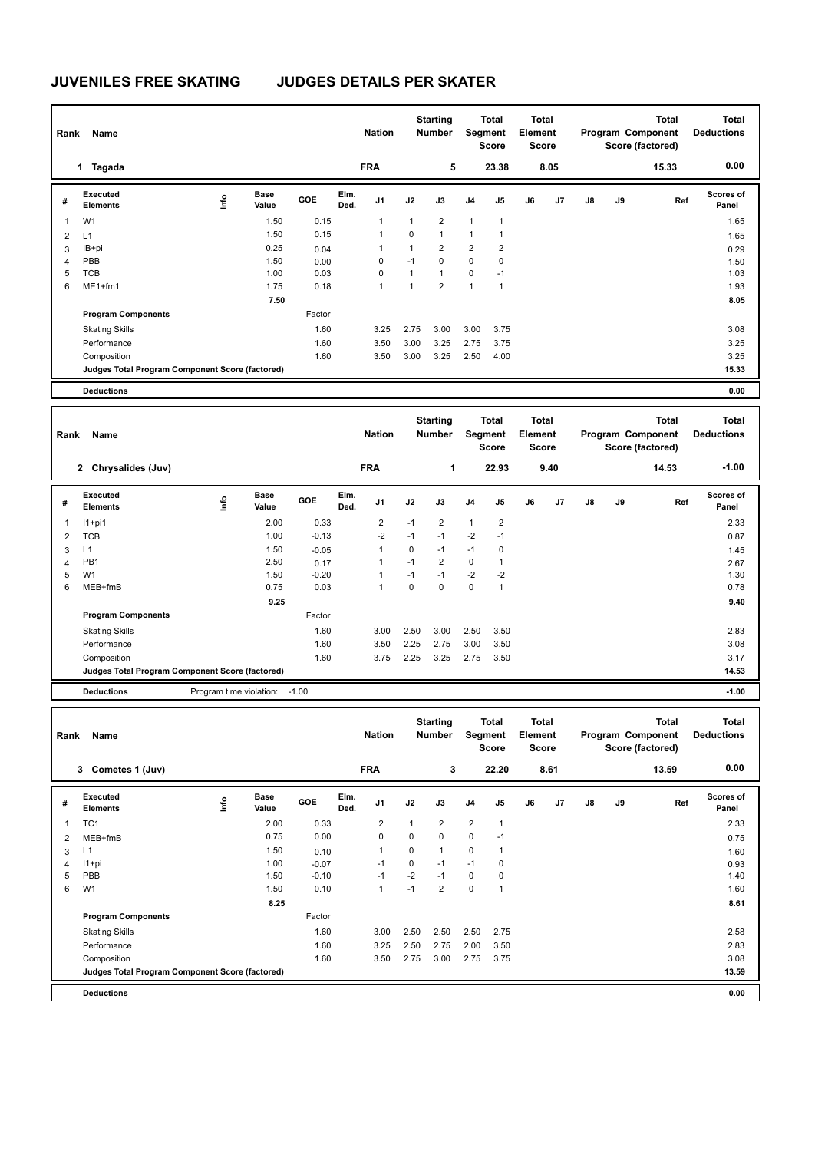## **JUVENILES FREE SKATING JUDGES DETAILS PER SKATER**

| Rank                    | Name                                            |      |                         |         |              | <b>Nation</b>           |              | <b>Starting</b><br><b>Number</b> |                | <b>Total</b><br>Segment<br><b>Score</b> | Element | <b>Total</b><br><b>Score</b> |               |    | Program Component<br>Score (factored) | <b>Total</b> | <b>Total</b><br><b>Deductions</b> |
|-------------------------|-------------------------------------------------|------|-------------------------|---------|--------------|-------------------------|--------------|----------------------------------|----------------|-----------------------------------------|---------|------------------------------|---------------|----|---------------------------------------|--------------|-----------------------------------|
|                         | 1 Tagada                                        |      |                         |         |              | <b>FRA</b>              |              | 5                                |                | 23.38                                   |         | 8.05                         |               |    |                                       | 15.33        | 0.00                              |
| #                       | <b>Executed</b><br><b>Elements</b>              | lnfo | <b>Base</b><br>Value    | GOE     | Elm.<br>Ded. | J1                      | J2           | J3                               | J <sub>4</sub> | J5                                      | J6      | J7                           | $\mathsf{J}8$ | J9 |                                       | Ref          | Scores of<br>Panel                |
| $\overline{1}$          | W <sub>1</sub>                                  |      | 1.50                    | 0.15    |              | $\mathbf{1}$            | $\mathbf{1}$ | $\overline{2}$                   | 1              | $\mathbf{1}$                            |         |                              |               |    |                                       |              | 1.65                              |
| $\overline{\mathbf{c}}$ | L1                                              |      | 1.50                    | 0.15    |              | 1                       | $\mathbf 0$  | $\mathbf{1}$                     | $\mathbf{1}$   | $\mathbf{1}$                            |         |                              |               |    |                                       |              | 1.65                              |
| 3                       | IB+pi                                           |      | 0.25                    | 0.04    |              | 1                       | $\mathbf{1}$ | $\overline{2}$                   | $\overline{2}$ | $\overline{2}$                          |         |                              |               |    |                                       |              | 0.29                              |
| 4                       | PBB                                             |      | 1.50                    | 0.00    |              | $\mathbf 0$             | $-1$         | $\mathbf 0$                      | 0              | $\mathbf 0$                             |         |                              |               |    |                                       |              | 1.50                              |
| 5                       | <b>TCB</b>                                      |      | 1.00                    | 0.03    |              | 0                       | $\mathbf{1}$ | $\mathbf{1}$                     | 0              | $-1$                                    |         |                              |               |    |                                       |              | 1.03                              |
| 6                       | ME1+fm1                                         |      | 1.75                    | 0.18    |              | $\mathbf{1}$            | $\mathbf{1}$ | $\overline{2}$                   | $\mathbf{1}$   | $\overline{1}$                          |         |                              |               |    |                                       |              | 1.93                              |
|                         |                                                 |      | 7.50                    |         |              |                         |              |                                  |                |                                         |         |                              |               |    |                                       |              | 8.05                              |
|                         | <b>Program Components</b>                       |      |                         | Factor  |              |                         |              |                                  |                |                                         |         |                              |               |    |                                       |              |                                   |
|                         | <b>Skating Skills</b>                           |      |                         | 1.60    |              | 3.25                    | 2.75         | 3.00                             | 3.00           | 3.75                                    |         |                              |               |    |                                       |              | 3.08                              |
|                         | Performance                                     |      |                         | 1.60    |              | 3.50                    | 3.00         | 3.25                             | 2.75           | 3.75                                    |         |                              |               |    |                                       |              | 3.25                              |
|                         | Composition                                     |      |                         | 1.60    |              | 3.50                    | 3.00         | 3.25                             | 2.50           | 4.00                                    |         |                              |               |    |                                       |              | 3.25                              |
|                         | Judges Total Program Component Score (factored) |      |                         |         |              |                         |              |                                  |                |                                         |         |                              |               |    |                                       |              | 15.33                             |
|                         | <b>Deductions</b>                               |      |                         |         |              |                         |              |                                  |                |                                         |         |                              |               |    |                                       |              | 0.00                              |
|                         |                                                 |      |                         |         |              |                         |              |                                  |                |                                         |         |                              |               |    |                                       |              |                                   |
| Rank                    | Name                                            |      |                         |         |              | <b>Nation</b>           |              | <b>Starting</b><br>Number        |                | <b>Total</b><br>Segment<br><b>Score</b> | Element | <b>Total</b><br><b>Score</b> |               |    | Program Component<br>Score (factored) | <b>Total</b> | <b>Total</b><br><b>Deductions</b> |
|                         | 2 Chrysalides (Juv)                             |      |                         |         |              | <b>FRA</b>              |              | 1                                |                | 22.93                                   |         | 9.40                         |               |    |                                       | 14.53        | $-1.00$                           |
| #                       | Executed<br><b>Elements</b>                     | lnfo | <b>Base</b><br>Value    | GOE     | Elm.<br>Ded. | J1                      | J2           | J3                               | J <sub>4</sub> | J5                                      | J6      | J7                           | J8            | J9 |                                       | Ref          | Scores of<br>Panel                |
| 1                       | $11+pi1$                                        |      | 2.00                    | 0.33    |              | $\overline{\mathbf{c}}$ | $-1$         | $\overline{2}$                   | $\mathbf{1}$   | $\overline{2}$                          |         |                              |               |    |                                       |              | 2.33                              |
| $\overline{2}$          | <b>TCB</b>                                      |      | 1.00                    | $-0.13$ |              | $-2$                    | $-1$         | $-1$                             | $-2$           | $-1$                                    |         |                              |               |    |                                       |              | 0.87                              |
| 3                       | L1                                              |      | 1.50                    | $-0.05$ |              | $\mathbf{1}$            | 0            | $-1$                             | $-1$           | $\mathbf 0$                             |         |                              |               |    |                                       |              | 1.45                              |
| $\overline{4}$          | PB1                                             |      | 2.50                    | 0.17    |              | 1                       | $-1$         | $\overline{2}$                   | 0              | $\mathbf{1}$                            |         |                              |               |    |                                       |              | 2.67                              |
| 5                       | W <sub>1</sub>                                  |      | 1.50                    | $-0.20$ |              | 1                       | $-1$         | $-1$                             | $-2$           | $-2$                                    |         |                              |               |    |                                       |              | 1.30                              |
| 6                       | MEB+fmB                                         |      | 0.75                    | 0.03    |              | $\mathbf{1}$            | $\Omega$     | $\mathbf{0}$                     | 0              | $\mathbf{1}$                            |         |                              |               |    |                                       |              | 0.78                              |
|                         |                                                 |      | 9.25                    |         |              |                         |              |                                  |                |                                         |         |                              |               |    |                                       |              | 9.40                              |
|                         | <b>Program Components</b>                       |      |                         | Factor  |              |                         |              |                                  |                |                                         |         |                              |               |    |                                       |              |                                   |
|                         | <b>Skating Skills</b>                           |      |                         | 1.60    |              | 3.00                    | 2.50         | 3.00                             | 2.50           | 3.50                                    |         |                              |               |    |                                       |              | 2.83                              |
|                         | Performance                                     |      |                         | 1.60    |              | 3.50                    | 2.25         | 2.75                             | 3.00           | 3.50                                    |         |                              |               |    |                                       |              | 3.08                              |
|                         | Composition                                     |      |                         | 1.60    |              | 3.75                    | 2.25         | 3.25                             | 2.75           | 3.50                                    |         |                              |               |    |                                       |              | 3.17                              |
|                         | Judges Total Program Component Score (factored) |      |                         |         |              |                         |              |                                  |                |                                         |         |                              |               |    |                                       |              | 14.53                             |
|                         | <b>Deductions</b>                               |      | Program time violation: | $-1.00$ |              |                         |              |                                  |                |                                         |         |                              |               |    |                                       |              | $-1.00$                           |

|   | Rank<br>Name                                    |      |               |            |              | <b>Nation</b>  | <b>Starting</b><br><b>Number</b> |                | <b>Total</b><br>Segment<br><b>Score</b> |                | <b>Total</b><br>Element<br>Score |      |               |    | <b>Total</b><br>Program Component<br>Score (factored) | <b>Total</b><br><b>Deductions</b> |  |
|---|-------------------------------------------------|------|---------------|------------|--------------|----------------|----------------------------------|----------------|-----------------------------------------|----------------|----------------------------------|------|---------------|----|-------------------------------------------------------|-----------------------------------|--|
|   | Cometes 1 (Juv)<br>3                            |      |               |            |              | <b>FRA</b>     |                                  | 3              |                                         | 22.20          |                                  | 8.61 |               |    | 13.59                                                 | 0.00                              |  |
| # | Executed<br><b>Elements</b>                     | ١nfo | Base<br>Value | <b>GOE</b> | Elm.<br>Ded. | J <sub>1</sub> | J2                               | J3             | J <sub>4</sub>                          | J5             | J6                               | J7   | $\mathsf{J}8$ | J9 | Ref                                                   | Scores of<br>Panel                |  |
| 1 | TC <sub>1</sub>                                 |      | 2.00          | 0.33       |              | $\overline{2}$ | 1                                | $\overline{2}$ | $\overline{2}$                          | $\mathbf{1}$   |                                  |      |               |    |                                                       | 2.33                              |  |
| 2 | MEB+fmB                                         |      | 0.75          | 0.00       |              | 0              | 0                                | 0              | 0                                       | $-1$           |                                  |      |               |    |                                                       | 0.75                              |  |
| 3 | L1                                              |      | 1.50          | 0.10       |              | 1              | 0                                | $\mathbf{1}$   | 0                                       |                |                                  |      |               |    |                                                       | 1.60                              |  |
| 4 | $11+pi$                                         |      | 1.00          | $-0.07$    |              | $-1$           | 0                                | $-1$           | $-1$                                    | 0              |                                  |      |               |    |                                                       | 0.93                              |  |
| 5 | PBB                                             |      | 1.50          | $-0.10$    |              | $-1$           | $-2$                             | $-1$           | 0                                       | 0              |                                  |      |               |    |                                                       | 1.40                              |  |
| 6 | W <sub>1</sub>                                  |      | 1.50          | 0.10       |              | 1              | $-1$                             | $\overline{2}$ | 0                                       | $\overline{1}$ |                                  |      |               |    |                                                       | 1.60                              |  |
|   |                                                 |      | 8.25          |            |              |                |                                  |                |                                         |                |                                  |      |               |    |                                                       | 8.61                              |  |
|   | <b>Program Components</b>                       |      |               | Factor     |              |                |                                  |                |                                         |                |                                  |      |               |    |                                                       |                                   |  |
|   | <b>Skating Skills</b>                           |      |               | 1.60       |              | 3.00           | 2.50                             | 2.50           | 2.50                                    | 2.75           |                                  |      |               |    |                                                       | 2.58                              |  |
|   | Performance                                     |      |               | 1.60       |              | 3.25           | 2.50                             | 2.75           | 2.00                                    | 3.50           |                                  |      |               |    |                                                       | 2.83                              |  |
|   | Composition                                     |      |               | 1.60       |              | 3.50           | 2.75                             | 3.00           | 2.75                                    | 3.75           |                                  |      |               |    |                                                       | 3.08                              |  |
|   | Judges Total Program Component Score (factored) |      |               |            |              |                |                                  |                |                                         |                |                                  |      |               |    |                                                       | 13.59                             |  |
|   | <b>Deductions</b>                               |      |               |            |              |                |                                  |                |                                         |                |                                  |      |               |    |                                                       | 0.00                              |  |